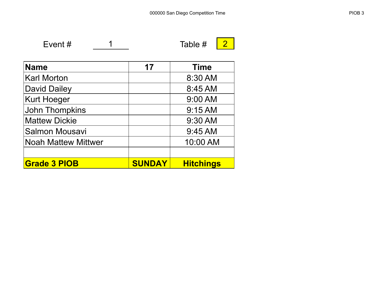Event  $\#$   $\qquad$   $\qquad$   $\qquad$   $\qquad$   $\qquad$   $\qquad$   $\qquad$   $\qquad$   $\qquad$   $\qquad$   $\qquad$   $\qquad$   $\qquad$   $\qquad$   $\qquad$   $\qquad$   $\qquad$   $\qquad$   $\qquad$   $\qquad$   $\qquad$   $\qquad$   $\qquad$   $\qquad$   $\qquad$   $\qquad$   $\qquad$   $\qquad$   $\qquad$   $\qquad$   $\qquad$   $\qquad$   $\qquad$   $\qquad$   $\qquad$ 

| <b>Name</b>                | 17            | <b>Time</b>      |
|----------------------------|---------------|------------------|
| <b>Karl Morton</b>         |               | 8:30 AM          |
| <b>David Dailey</b>        |               | 8:45 AM          |
| <b>Kurt Hoeger</b>         |               | 9:00 AM          |
| John Thompkins             |               | 9:15 AM          |
| <b>Mattew Dickie</b>       |               | 9:30 AM          |
| <b>Salmon Mousavi</b>      |               | 9:45 AM          |
| <b>Noah Mattew Mittwer</b> |               | 10:00 AM         |
|                            |               |                  |
| <b>Grade 3 PIOB</b>        | <b>SUNDAY</b> | <b>Hitchings</b> |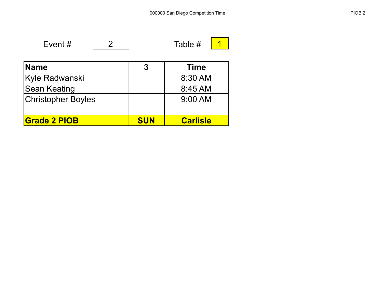Event #  $\begin{array}{c|c} 2 & \text{Table } H & 1 \end{array}$ 

| <b>Name</b>               | 3          | <b>Time</b>     |
|---------------------------|------------|-----------------|
| <b>Kyle Radwanski</b>     |            | 8:30 AM         |
| <b>Sean Keating</b>       |            | 8:45 AM         |
| <b>Christopher Boyles</b> |            | $9:00$ AM       |
|                           |            |                 |
| <b>Grade 2 PIOB</b>       | <b>SUN</b> | <b>Carlisle</b> |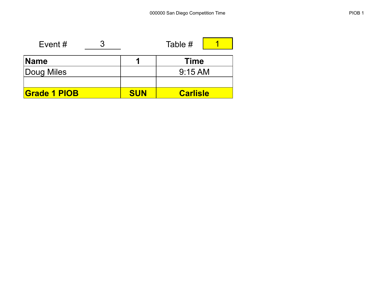| Event #             |            | Table #         |  |  |
|---------------------|------------|-----------------|--|--|
| ∣Name               | п          | <b>Time</b>     |  |  |
| Doug Miles          |            | $9:15$ AM       |  |  |
|                     |            |                 |  |  |
| <b>Grade 1 PIOB</b> | <b>SUN</b> | <b>Carlisle</b> |  |  |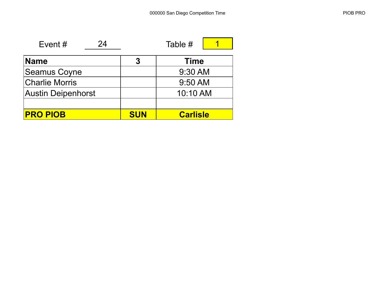| 24<br>Event $#$           |            | Table #         |  |
|---------------------------|------------|-----------------|--|
| Name                      | 3          | <b>Time</b>     |  |
| <b>Seamus Coyne</b>       |            | 9:30 AM         |  |
| <b>Charlie Morris</b>     | 9:50 AM    |                 |  |
| <b>Austin Deipenhorst</b> |            | 10:10 AM        |  |
|                           |            |                 |  |
| <b>PRO PIOB</b>           | <b>SUN</b> | <b>Carlisle</b> |  |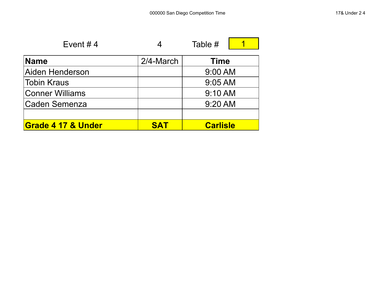| Event #4                      |            | Table #         |
|-------------------------------|------------|-----------------|
| <b>Name</b>                   | 2/4-March  | <b>Time</b>     |
| Aiden Henderson               |            | 9:00 AM         |
| Tobin Kraus                   |            | 9:05 AM         |
| Conner Williams               |            | 9:10 AM         |
| Caden Semenza                 |            | 9:20 AM         |
|                               |            |                 |
| <b>Grade 4 17 &amp; Under</b> | <b>SAT</b> | <b>Carlisle</b> |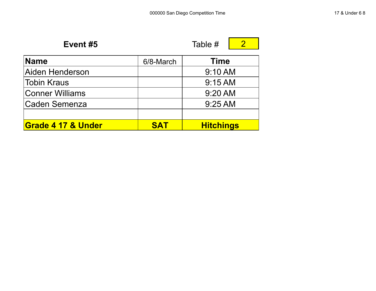| Event #5               |            | Table #          |  |  |
|------------------------|------------|------------------|--|--|
| <b>Name</b>            | 6/8-March  | <b>Time</b>      |  |  |
| Aiden Henderson        |            | 9:10 AM          |  |  |
| <b>Tobin Kraus</b>     |            | $9:15$ AM        |  |  |
| <b>Conner Williams</b> |            | 9:20 AM          |  |  |
| <b>Caden Semenza</b>   |            | 9:25 AM          |  |  |
|                        |            |                  |  |  |
| Grade 4 17 & Under     | <b>SAT</b> | <b>Hitchings</b> |  |  |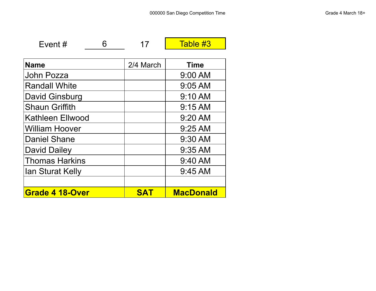| ent" |  |
|------|--|
|      |  |

6 17 Table #3

| <b>Name</b>             | 2/4 March | <b>Time</b>      |
|-------------------------|-----------|------------------|
| John Pozza              |           | $9:00$ AM        |
| <b>Randall White</b>    |           | $9:05$ AM        |
| David Ginsburg          |           | 9:10 AM          |
| <b>Shaun Griffith</b>   |           | 9:15 AM          |
| <b>Kathleen Ellwood</b> |           | 9:20 AM          |
| <b>William Hoover</b>   |           | $9:25$ AM        |
| <b>Daniel Shane</b>     |           | 9:30 AM          |
| <b>David Dailey</b>     |           | $9:35$ AM        |
| <b>Thomas Harkins</b>   |           | 9:40 AM          |
| <b>Ian Sturat Kelly</b> |           | 9:45 AM          |
|                         |           |                  |
| <b>Grade 4 18-Over</b>  | SΔ        | <b>MacDonald</b> |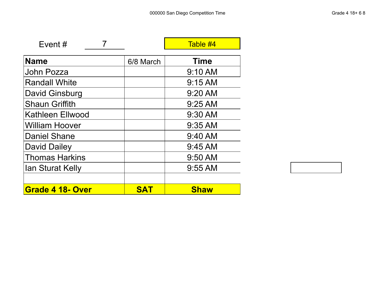П

| Event#                  |            | Table #4    |
|-------------------------|------------|-------------|
| <b>Name</b>             | 6/8 March  | <b>Time</b> |
|                         |            |             |
| John Pozza              |            | 9:10 AM     |
| <b>Randall White</b>    |            | $9:15$ AM   |
| David Ginsburg          |            | 9:20 AM     |
| <b>Shaun Griffith</b>   |            | 9:25 AM     |
| <b>Kathleen Ellwood</b> |            | 9:30 AM     |
| William Hoover          |            | $9:35$ AM   |
| <b>Daniel Shane</b>     |            | 9:40 AM     |
| <b>David Dailey</b>     |            | $9:45$ AM   |
| <b>Thomas Harkins</b>   |            | 9:50 AM     |
| <b>Ian Sturat Kelly</b> |            | $9:55$ AM   |
|                         |            |             |
| <b>Grade 4 18- Over</b> | <b>SAT</b> | <b>Shaw</b> |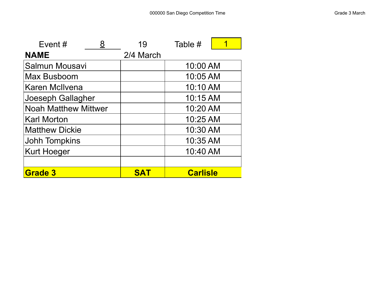$\blacksquare$ 

| Event $#$                   | 19         | Table #         |  |
|-----------------------------|------------|-----------------|--|
| <b>NAME</b>                 | 2/4 March  |                 |  |
| Salmun Mousavi              |            | 10:00 AM        |  |
| Max Busboom                 |            | 10:05 AM        |  |
| Karen McIlvena              |            | 10:10 AM        |  |
| Joeseph Gallagher           |            | 10:15 AM        |  |
| <b>Noah Matthew Mittwer</b> |            | 10:20 AM        |  |
| <b>Karl Morton</b>          |            | 10:25 AM        |  |
| <b>Matthew Dickie</b>       |            | 10:30 AM        |  |
| <b>Johh Tompkins</b>        |            | 10:35 AM        |  |
| <b>Kurt Hoeger</b>          |            | 10:40 AM        |  |
|                             |            |                 |  |
| <b>Grade 3</b>              | <b>SAT</b> | <b>Carlisle</b> |  |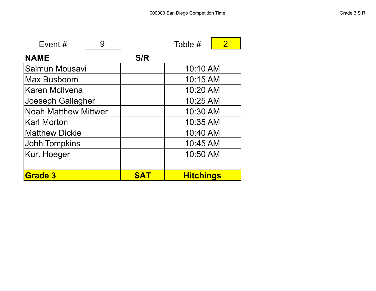| Event $#$<br>9              |            | Table #          | $\overline{2}$ |  |
|-----------------------------|------------|------------------|----------------|--|
| <b>NAME</b>                 | S/R        |                  |                |  |
| Salmun Mousavi              |            | 10:10 AM         |                |  |
| Max Busboom                 |            | 10:15 AM         |                |  |
| <b>Karen McIlvena</b>       |            | 10:20 AM         |                |  |
| Joeseph Gallagher           |            | 10:25 AM         |                |  |
| <b>Noah Matthew Mittwer</b> |            | 10:30 AM         |                |  |
| <b>Karl Morton</b>          |            | 10:35 AM         |                |  |
| <b>Matthew Dickie</b>       |            | 10:40 AM         |                |  |
| <b>Johh Tompkins</b>        |            | 10:45 AM         |                |  |
| <b>Kurt Hoeger</b>          | 10:50 AM   |                  |                |  |
|                             |            |                  |                |  |
| <b>Grade 3</b>              | <b>SAT</b> | <b>Hitchings</b> |                |  |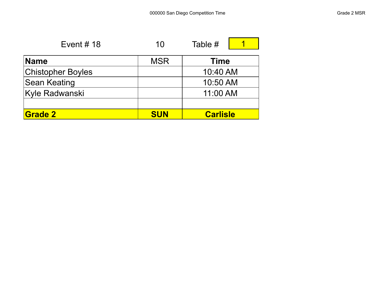| Event # $18$             | 10         | Table #         |  |
|--------------------------|------------|-----------------|--|
| <b>Name</b>              | <b>MSR</b> | <b>Time</b>     |  |
| <b>Chistopher Boyles</b> |            | 10:40 AM        |  |
| <b>Sean Keating</b>      |            | 10:50 AM        |  |
| Kyle Radwanski           |            | 11:00 AM        |  |
|                          |            |                 |  |
| <b>Grade 2</b>           | <b>SUN</b> | <b>Carlisle</b> |  |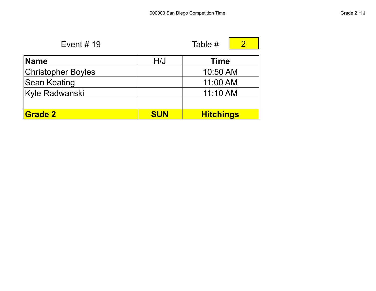Е

5

| Event $# 19$              | Table #    |                  |  |
|---------------------------|------------|------------------|--|
| <b>Name</b>               | H/J        | <b>Time</b>      |  |
| <b>Christopher Boyles</b> |            | 10:50 AM         |  |
| Sean Keating              |            | 11:00 AM         |  |
| Kyle Radwanski            |            | 11:10 AM         |  |
|                           |            |                  |  |
| <b>Grade 2</b>            | <b>SUN</b> | <b>Hitchings</b> |  |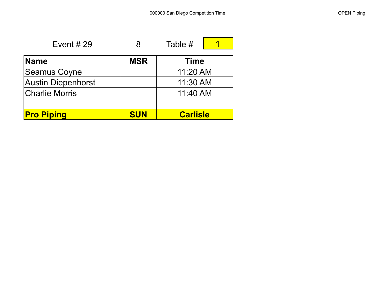$\blacksquare$ 

| Event $#29$           | 8          | Table #         |  |
|-----------------------|------------|-----------------|--|
| <b>Name</b>           | <b>MSR</b> | <b>Time</b>     |  |
| Seamus Coyne          |            | 11:20 AM        |  |
| Austin Diepenhorst    |            | 11:30 AM        |  |
| <b>Charlie Morris</b> |            | 11:40 AM        |  |
|                       |            |                 |  |
| <b>Pro Piping</b>     | <b>SUN</b> | <b>Carlisle</b> |  |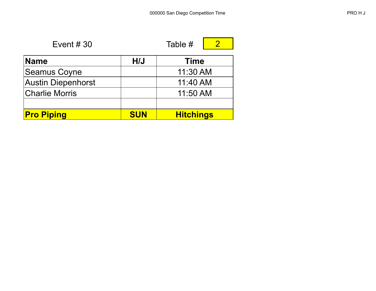| Event $#30$                        |     | Table #     |  |  |
|------------------------------------|-----|-------------|--|--|
|                                    |     |             |  |  |
| <b>Name</b>                        | H/J | <b>Time</b> |  |  |
| Seamus Coyne                       |     | $11:30$ AM  |  |  |
| Austin Diepenhorst                 |     | 11:40 AM    |  |  |
| $\sim$ $\sim$ $\sim$ $\sim$ $\sim$ |     |             |  |  |

| <b>Pro Piping</b>     | <b>SUN</b> | <b>Hitchings</b> |
|-----------------------|------------|------------------|
|                       |            |                  |
| <b>Charlie Morris</b> |            | 11:50 AM         |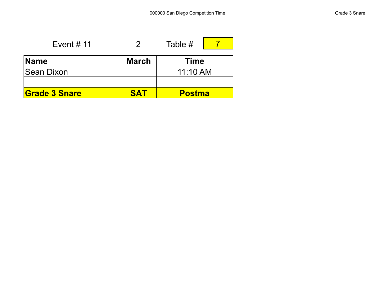| Event # $11$         |              | Table #       |  |
|----------------------|--------------|---------------|--|
| <b>Name</b>          | <b>March</b> | <b>Time</b>   |  |
| <b>Sean Dixon</b>    |              | $11:10$ AM    |  |
|                      |              |               |  |
| <b>Grade 3 Snare</b> | <b>SAT</b>   | <b>Postma</b> |  |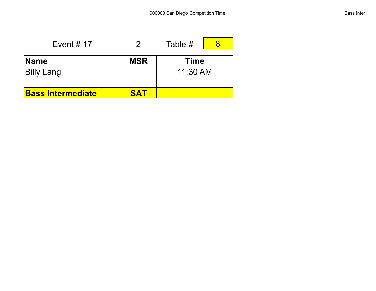| Event # $17$             |            | Table #     |  |
|--------------------------|------------|-------------|--|
| <b>Name</b>              | <b>MSR</b> | <b>Time</b> |  |
| <b>Billy Lang</b>        |            | 11:30 AM    |  |
|                          |            |             |  |
| <b>Bass Intermediate</b> | SAT        |             |  |